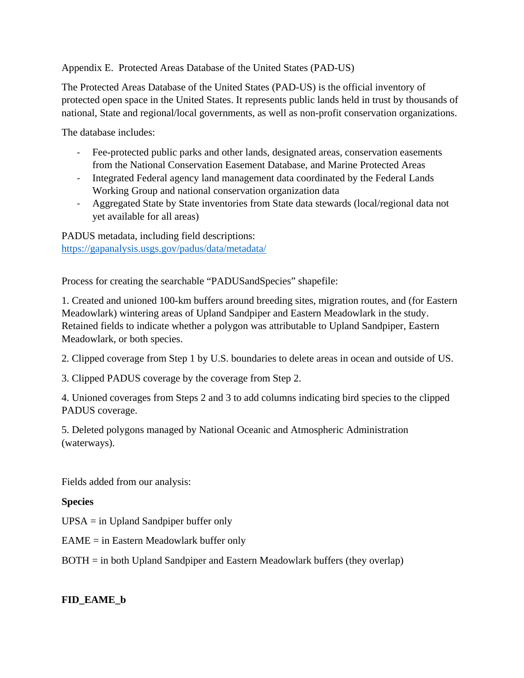### Appendix E.Protected Areas Database of the United States (PAD-US)

The Protected Areas Database of the United States (PAD-US) is the official inventory of protected open space in the United States. It represents public lands held in trust by thousands of national, State and regional/local governments, as well as non-profit conservation organizations.

The database includes:

- Fee-protected public parks and other lands, designated areas, conservation easements from the National Conservation Easement Database, and Marine Protected Areas
- Integrated Federal agency land management data coordinated by the Federal Lands Working Group and national conservation organization data
- Aggregated State by State inventories from State data stewards (local/regional data not yet available for all areas)

PADUS metadata, including field descriptions: <https://gapanalysis.usgs.gov/padus/data/metadata/>

Process for creating the searchable "PADUSandSpecies" shapefile:

1. Created and unioned 100-km buffers around breeding sites, migration routes, and (for Eastern Meadowlark) wintering areas of Upland Sandpiper and Eastern Meadowlark in the study. Retained fields to indicate whether a polygon was attributable to Upland Sandpiper, Eastern Meadowlark, or both species.

2. Clipped coverage from Step 1 by U.S. boundaries to delete areas in ocean and outside of US.

3. Clipped PADUS coverage by the coverage from Step 2.

4. Unioned coverages from Steps 2 and 3 to add columns indicating bird species to the clipped PADUS coverage.

5. Deleted polygons managed by National Oceanic and Atmospheric Administration (waterways).

Fields added from our analysis:

### **Species**

UPSA = in Upland Sandpiper buffer only

 $EAME = in Eastern Meadowlark buffer only$ 

BOTH = in both Upland Sandpiper and Eastern Meadowlark buffers (they overlap)

## **FID\_EAME\_b**